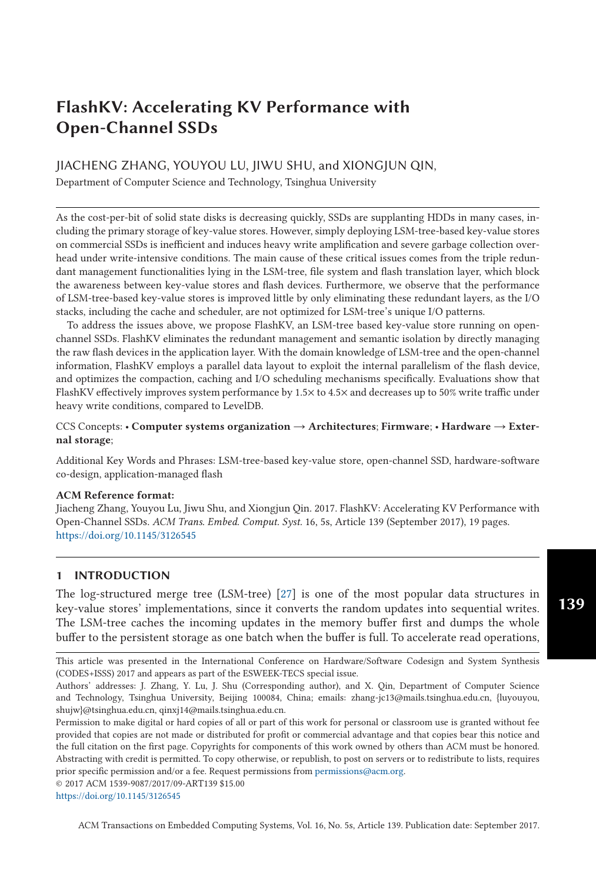# **FlashKV: Accelerating KV Performance with Open-Channel SSDs**

# JIACHENG ZHANG, YOUYOU LU, JIWU SHU, and XIONGJUN QIN,

Department of Computer Science and Technology, Tsinghua University

As the cost-per-bit of solid state disks is decreasing quickly, SSDs are supplanting HDDs in many cases, including the primary storage of key-value stores. However, simply deploying LSM-tree-based key-value stores on commercial SSDs is inefficient and induces heavy write amplification and severe garbage collection overhead under write-intensive conditions. The main cause of these critical issues comes from the triple redundant management functionalities lying in the LSM-tree, file system and flash translation layer, which block the awareness between key-value stores and flash devices. Furthermore, we observe that the performance of LSM-tree-based key-value stores is improved little by only eliminating these redundant layers, as the I/O stacks, including the cache and scheduler, are not optimized for LSM-tree's unique I/O patterns.

To address the issues above, we propose FlashKV, an LSM-tree based key-value store running on openchannel SSDs. FlashKV eliminates the redundant management and semantic isolation by directly managing the raw flash devices in the application layer. With the domain knowledge of LSM-tree and the open-channel information, FlashKV employs a parallel data layout to exploit the internal parallelism of the flash device, and optimizes the compaction, caching and I/O scheduling mechanisms specifically. Evaluations show that FlashKV effectively improves system performance by 1.5× to 4.5× and decreases up to 50% write traffic under heavy write conditions, compared to LevelDB.

## CCS Concepts: • **Computer systems organization** → **Architectures**; **Firmware**; • **Hardware** → **External storage**;

Additional Key Words and Phrases: LSM-tree-based key-value store, open-channel SSD, hardware-software co-design, application-managed flash

# **ACM Reference format:**

Jiacheng Zhang, Youyou Lu, Jiwu Shu, and Xiongjun Qin. 2017. FlashKV: Accelerating KV Performance with Open-Channel SSDs. *ACM Trans. Embed. Comput. Syst.* 16, 5s, Article 139 (September 2017), 19 pages. <https://doi.org/10.1145/3126545>

## **1 INTRODUCTION**

The log-structured merge tree (LSM-tree) [\[27\]](#page-18-0) is one of the most popular data structures in key-value stores' implementations, since it converts the random updates into sequential writes. The LSM-tree caches the incoming updates in the memory buffer first and dumps the whole buffer to the persistent storage as one batch when the buffer is full. To accelerate read operations,

© 2017 ACM 1539-9087/2017/09-ART139 \$15.00

<https://doi.org/10.1145/3126545>

This article was presented in the International Conference on Hardware/Software Codesign and System Synthesis (CODES+ISSS) 2017 and appears as part of the ESWEEK-TECS special issue.

Authors' addresses: J. Zhang, Y. Lu, J. Shu (Corresponding author), and X. Qin, Department of Computer Science and Technology, Tsinghua University, Beijing 100084, China; emails: zhang-jc13@mails.tsinghua.edu.cn, {luyouyou, shujw}@tsinghua.edu.cn, qinxj14@mails.tsinghua.edu.cn.

Permission to make digital or hard copies of all or part of this work for personal or classroom use is granted without fee provided that copies are not made or distributed for profit or commercial advantage and that copies bear this notice and the full citation on the first page. Copyrights for components of this work owned by others than ACM must be honored. Abstracting with credit is permitted. To copy otherwise, or republish, to post on servers or to redistribute to lists, requires prior specific permission and/or a fee. Request permissions from [permissions@acm.org.](mailto:permissions@acm.org)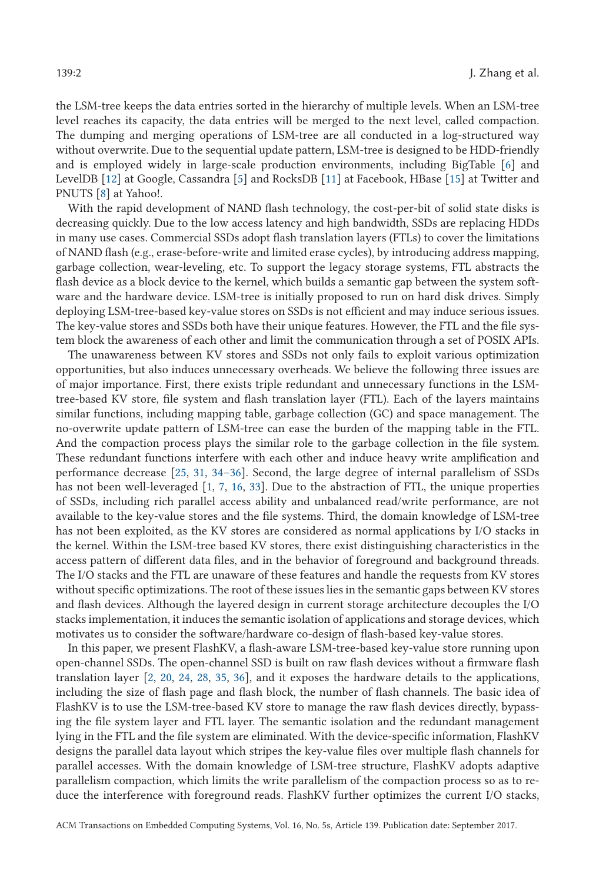the LSM-tree keeps the data entries sorted in the hierarchy of multiple levels. When an LSM-tree level reaches its capacity, the data entries will be merged to the next level, called compaction. The dumping and merging operations of LSM-tree are all conducted in a log-structured way without overwrite. Due to the sequential update pattern, LSM-tree is designed to be HDD-friendly and is employed widely in large-scale production environments, including BigTable [\[6\]](#page-17-0) and LevelDB [\[12\]](#page-17-0) at Google, Cassandra [\[5\]](#page-17-0) and RocksDB [\[11\]](#page-17-0) at Facebook, HBase [\[15\]](#page-17-0) at Twitter and PNUTS [\[8\]](#page-17-0) at Yahoo!.

With the rapid development of NAND flash technology, the cost-per-bit of solid state disks is decreasing quickly. Due to the low access latency and high bandwidth, SSDs are replacing HDDs in many use cases. Commercial SSDs adopt flash translation layers (FTLs) to cover the limitations of NAND flash (e.g., erase-before-write and limited erase cycles), by introducing address mapping, garbage collection, wear-leveling, etc. To support the legacy storage systems, FTL abstracts the flash device as a block device to the kernel, which builds a semantic gap between the system software and the hardware device. LSM-tree is initially proposed to run on hard disk drives. Simply deploying LSM-tree-based key-value stores on SSDs is not efficient and may induce serious issues. The key-value stores and SSDs both have their unique features. However, the FTL and the file system block the awareness of each other and limit the communication through a set of POSIX APIs.

The unawareness between KV stores and SSDs not only fails to exploit various optimization opportunities, but also induces unnecessary overheads. We believe the following three issues are of major importance. First, there exists triple redundant and unnecessary functions in the LSMtree-based KV store, file system and flash translation layer (FTL). Each of the layers maintains similar functions, including mapping table, garbage collection (GC) and space management. The no-overwrite update pattern of LSM-tree can ease the burden of the mapping table in the FTL. And the compaction process plays the similar role to the garbage collection in the file system. These redundant functions interfere with each other and induce heavy write amplification and performance decrease [\[25,](#page-18-0) [31,](#page-18-0) [34–36\]](#page-18-0). Second, the large degree of internal parallelism of SSDs has not been well-leveraged [\[1,](#page-17-0) [7,](#page-17-0) [16,](#page-17-0) [33\]](#page-18-0). Due to the abstraction of FTL, the unique properties of SSDs, including rich parallel access ability and unbalanced read/write performance, are not available to the key-value stores and the file systems. Third, the domain knowledge of LSM-tree has not been exploited, as the KV stores are considered as normal applications by I/O stacks in the kernel. Within the LSM-tree based KV stores, there exist distinguishing characteristics in the access pattern of different data files, and in the behavior of foreground and background threads. The I/O stacks and the FTL are unaware of these features and handle the requests from KV stores without specific optimizations. The root of these issues lies in the semantic gaps between KV stores and flash devices. Although the layered design in current storage architecture decouples the I/O stacks implementation, it induces the semantic isolation of applications and storage devices, which motivates us to consider the software/hardware co-design of flash-based key-value stores.

In this paper, we present FlashKV, a flash-aware LSM-tree-based key-value store running upon open-channel SSDs. The open-channel SSD is built on raw flash devices without a firmware flash translation layer [\[2,](#page-17-0) [20,](#page-17-0) [24,](#page-18-0) [28,](#page-18-0) [35,](#page-18-0) [36\]](#page-18-0), and it exposes the hardware details to the applications, including the size of flash page and flash block, the number of flash channels. The basic idea of FlashKV is to use the LSM-tree-based KV store to manage the raw flash devices directly, bypassing the file system layer and FTL layer. The semantic isolation and the redundant management lying in the FTL and the file system are eliminated. With the device-specific information, FlashKV designs the parallel data layout which stripes the key-value files over multiple flash channels for parallel accesses. With the domain knowledge of LSM-tree structure, FlashKV adopts adaptive parallelism compaction, which limits the write parallelism of the compaction process so as to reduce the interference with foreground reads. FlashKV further optimizes the current I/O stacks,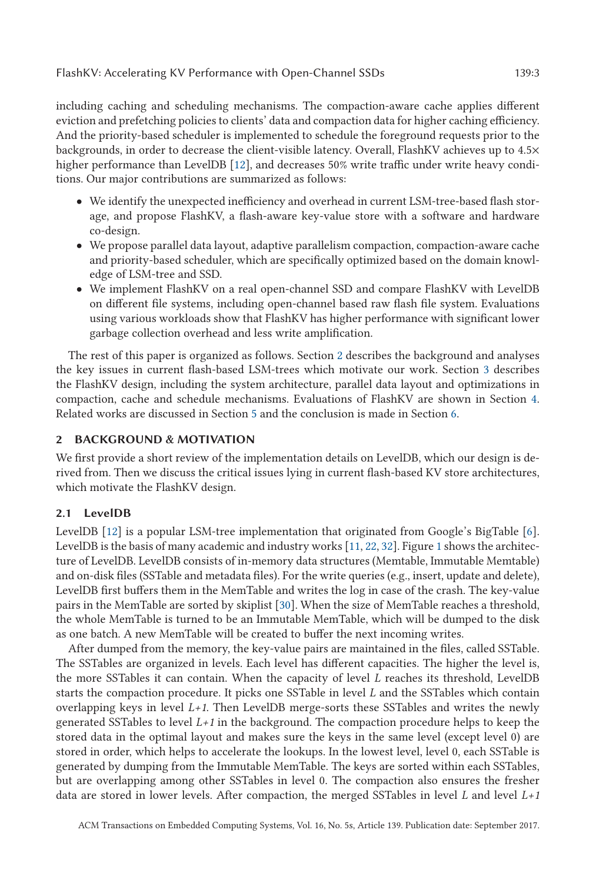including caching and scheduling mechanisms. The compaction-aware cache applies different eviction and prefetching policies to clients' data and compaction data for higher caching efficiency. And the priority-based scheduler is implemented to schedule the foreground requests prior to the backgrounds, in order to decrease the client-visible latency. Overall, FlashKV achieves up to 4.5× higher performance than LevelDB [\[12\]](#page-17-0), and decreases 50% write traffic under write heavy conditions. Our major contributions are summarized as follows:

- We identify the unexpected inefficiency and overhead in current LSM-tree-based flash storage, and propose FlashKV, a flash-aware key-value store with a software and hardware co-design.
- We propose parallel data layout, adaptive parallelism compaction, compaction-aware cache and priority-based scheduler, which are specifically optimized based on the domain knowledge of LSM-tree and SSD.
- We implement FlashKV on a real open-channel SSD and compare FlashKV with LevelDB on different file systems, including open-channel based raw flash file system. Evaluations using various workloads show that FlashKV has higher performance with significant lower garbage collection overhead and less write amplification.

The rest of this paper is organized as follows. Section 2 describes the background and analyses the key issues in current flash-based LSM-trees which motivate our work. Section [3](#page-4-0) describes the FlashKV design, including the system architecture, parallel data layout and optimizations in compaction, cache and schedule mechanisms. Evaluations of FlashKV are shown in Section [4.](#page-11-0) Related works are discussed in Section [5](#page-15-0) and the conclusion is made in Section [6.](#page-16-0)

# **2 BACKGROUND & MOTIVATION**

We first provide a short review of the implementation details on LevelDB, which our design is derived from. Then we discuss the critical issues lying in current flash-based KV store architectures, which motivate the FlashKV design.

## **2.1 LevelDB**

LevelDB [\[12\]](#page-17-0) is a popular LSM-tree implementation that originated from Google's BigTable [\[6\]](#page-17-0). LevelDB is the basis of many academic and industry works [\[11,](#page-17-0) [22,](#page-18-0) [32\]](#page-18-0). Figure [1](#page-3-0) shows the architecture of LevelDB. LevelDB consists of in-memory data structures (Memtable, Immutable Memtable) and on-disk files (SSTable and metadata files). For the write queries (e.g., insert, update and delete), LevelDB first buffers them in the MemTable and writes the log in case of the crash. The key-value pairs in the MemTable are sorted by skiplist [\[30\]](#page-18-0). When the size of MemTable reaches a threshold, the whole MemTable is turned to be an Immutable MemTable, which will be dumped to the disk as one batch. A new MemTable will be created to buffer the next incoming writes.

After dumped from the memory, the key-value pairs are maintained in the files, called SSTable. The SSTables are organized in levels. Each level has different capacities. The higher the level is, the more SSTables it can contain. When the capacity of level *L* reaches its threshold, LevelDB starts the compaction procedure. It picks one SSTable in level *L* and the SSTables which contain overlapping keys in level  $L+1$ . Then LevelDB merge-sorts these SSTables and writes the newly generated SSTables to level *L+1* in the background. The compaction procedure helps to keep the stored data in the optimal layout and makes sure the keys in the same level (except level 0) are stored in order, which helps to accelerate the lookups. In the lowest level, level 0, each SSTable is generated by dumping from the Immutable MemTable. The keys are sorted within each SSTables, but are overlapping among other SSTables in level 0. The compaction also ensures the fresher data are stored in lower levels. After compaction, the merged SSTables in level *L* and level *L+1*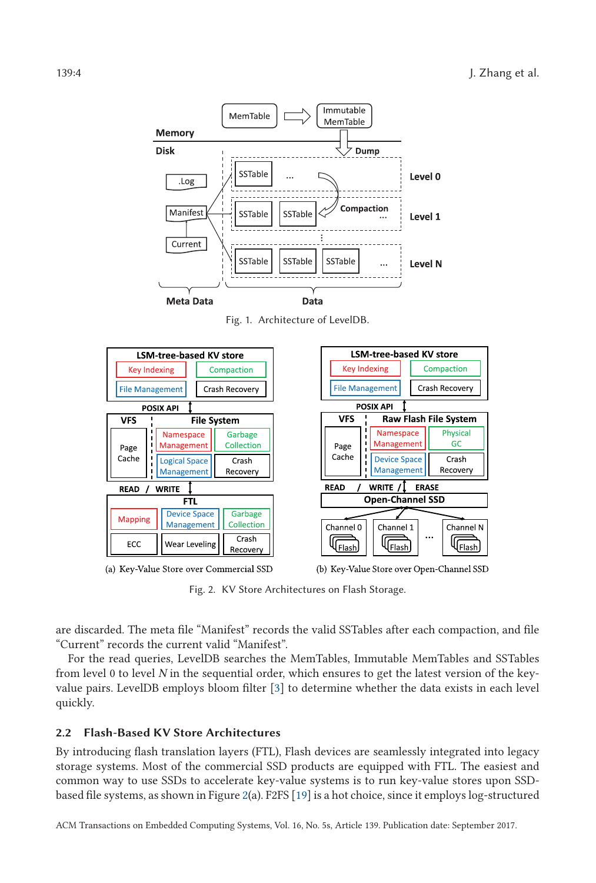<span id="page-3-0"></span>

Fig. 1. Architecture of LevelDB.



Fig. 2. KV Store Architectures on Flash Storage.

are discarded. The meta file "Manifest" records the valid SSTables after each compaction, and file "Current" records the current valid "Manifest".

For the read queries, LevelDB searches the MemTables, Immutable MemTables and SSTables from level 0 to level *N* in the sequential order, which ensures to get the latest version of the keyvalue pairs. LevelDB employs bloom filter [\[3\]](#page-17-0) to determine whether the data exists in each level quickly.

## **2.2 Flash-Based KV Store Architectures**

By introducing flash translation layers (FTL), Flash devices are seamlessly integrated into legacy storage systems. Most of the commercial SSD products are equipped with FTL. The easiest and common way to use SSDs to accelerate key-value systems is to run key-value stores upon SSDbased file systems, as shown in Figure 2(a). F2FS [\[19\]](#page-17-0) is a hot choice, since it employs log-structured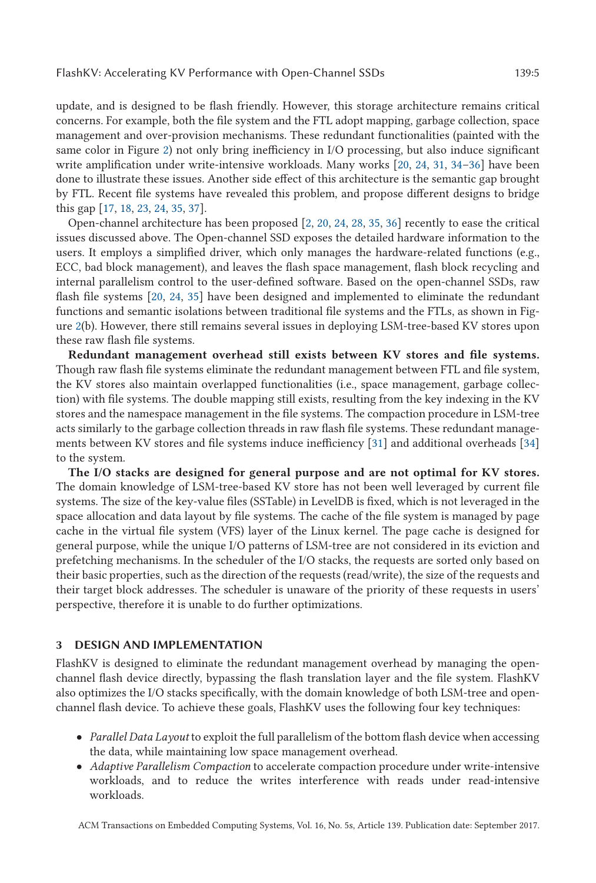<span id="page-4-0"></span>update, and is designed to be flash friendly. However, this storage architecture remains critical concerns. For example, both the file system and the FTL adopt mapping, garbage collection, space management and over-provision mechanisms. These redundant functionalities (painted with the same color in Figure [2\)](#page-3-0) not only bring inefficiency in I/O processing, but also induce significant write amplification under write-intensive workloads. Many works [\[20,](#page-17-0) [24,](#page-18-0) [31,](#page-18-0) [34–36\]](#page-18-0) have been done to illustrate these issues. Another side effect of this architecture is the semantic gap brought by FTL. Recent file systems have revealed this problem, and propose different designs to bridge this gap [\[17,](#page-17-0) [18,](#page-17-0) [23,](#page-18-0) [24,](#page-18-0) [35,](#page-18-0) [37\]](#page-18-0).

Open-channel architecture has been proposed [\[2,](#page-17-0) [20,](#page-17-0) [24,](#page-18-0) [28,](#page-18-0) [35,](#page-18-0) [36\]](#page-18-0) recently to ease the critical issues discussed above. The Open-channel SSD exposes the detailed hardware information to the users. It employs a simplified driver, which only manages the hardware-related functions (e.g., ECC, bad block management), and leaves the flash space management, flash block recycling and internal parallelism control to the user-defined software. Based on the open-channel SSDs, raw flash file systems [\[20,](#page-17-0) [24,](#page-18-0) [35\]](#page-18-0) have been designed and implemented to eliminate the redundant functions and semantic isolations between traditional file systems and the FTLs, as shown in Figure [2\(](#page-3-0)b). However, there still remains several issues in deploying LSM-tree-based KV stores upon these raw flash file systems.

**Redundant management overhead still exists between KV stores and file systems.** Though raw flash file systems eliminate the redundant management between FTL and file system, the KV stores also maintain overlapped functionalities (i.e., space management, garbage collection) with file systems. The double mapping still exists, resulting from the key indexing in the KV stores and the namespace management in the file systems. The compaction procedure in LSM-tree acts similarly to the garbage collection threads in raw flash file systems. These redundant managements between KV stores and file systems induce inefficiency [\[31\]](#page-18-0) and additional overheads [\[34\]](#page-18-0) to the system.

**The I/O stacks are designed for general purpose and are not optimal for KV stores.** The domain knowledge of LSM-tree-based KV store has not been well leveraged by current file systems. The size of the key-value files (SSTable) in LevelDB is fixed, which is not leveraged in the space allocation and data layout by file systems. The cache of the file system is managed by page cache in the virtual file system (VFS) layer of the Linux kernel. The page cache is designed for general purpose, while the unique I/O patterns of LSM-tree are not considered in its eviction and prefetching mechanisms. In the scheduler of the I/O stacks, the requests are sorted only based on their basic properties, such as the direction of the requests (read/write), the size of the requests and their target block addresses. The scheduler is unaware of the priority of these requests in users' perspective, therefore it is unable to do further optimizations.

#### **3 DESIGN AND IMPLEMENTATION**

FlashKV is designed to eliminate the redundant management overhead by managing the openchannel flash device directly, bypassing the flash translation layer and the file system. FlashKV also optimizes the I/O stacks specifically, with the domain knowledge of both LSM-tree and openchannel flash device. To achieve these goals, FlashKV uses the following four key techniques:

- *Parallel Data Layout* to exploit the full parallelism of the bottom flash device when accessing the data, while maintaining low space management overhead.
- *Adaptive Parallelism Compaction* to accelerate compaction procedure under write-intensive workloads, and to reduce the writes interference with reads under read-intensive workloads.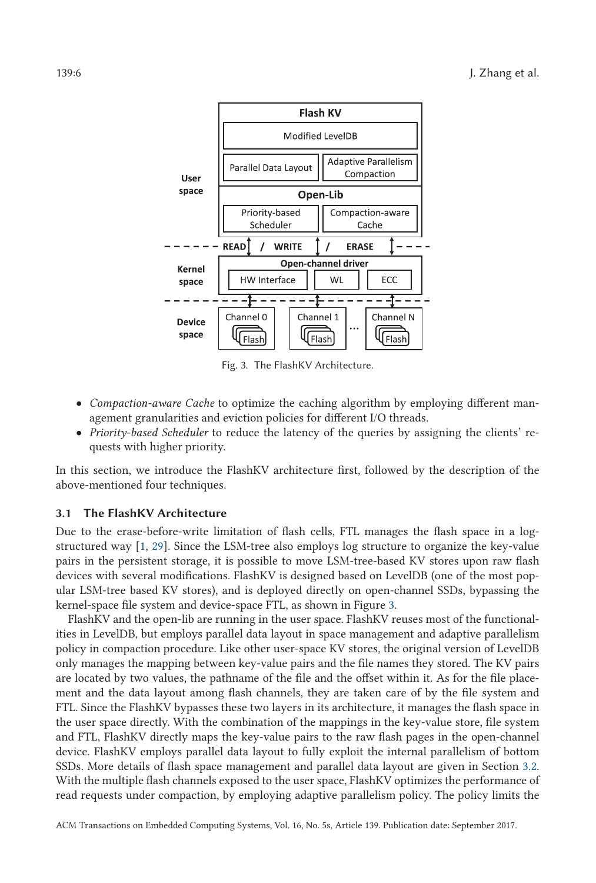

Fig. 3. The FlashKV Architecture.

- *Compaction-aware Cache* to optimize the caching algorithm by employing different management granularities and eviction policies for different I/O threads.
- *Priority-based Scheduler* to reduce the latency of the queries by assigning the clients' requests with higher priority.

In this section, we introduce the FlashKV architecture first, followed by the description of the above-mentioned four techniques.

## **3.1 The FlashKV Architecture**

Due to the erase-before-write limitation of flash cells, FTL manages the flash space in a logstructured way [\[1,](#page-17-0) [29\]](#page-18-0). Since the LSM-tree also employs log structure to organize the key-value pairs in the persistent storage, it is possible to move LSM-tree-based KV stores upon raw flash devices with several modifications. FlashKV is designed based on LevelDB (one of the most popular LSM-tree based KV stores), and is deployed directly on open-channel SSDs, bypassing the kernel-space file system and device-space FTL, as shown in Figure 3.

FlashKV and the open-lib are running in the user space. FlashKV reuses most of the functionalities in LevelDB, but employs parallel data layout in space management and adaptive parallelism policy in compaction procedure. Like other user-space KV stores, the original version of LevelDB only manages the mapping between key-value pairs and the file names they stored. The KV pairs are located by two values, the pathname of the file and the offset within it. As for the file placement and the data layout among flash channels, they are taken care of by the file system and FTL. Since the FlashKV bypasses these two layers in its architecture, it manages the flash space in the user space directly. With the combination of the mappings in the key-value store, file system and FTL, FlashKV directly maps the key-value pairs to the raw flash pages in the open-channel device. FlashKV employs parallel data layout to fully exploit the internal parallelism of bottom SSDs. More details of flash space management and parallel data layout are given in Section [3.2.](#page-6-0) With the multiple flash channels exposed to the user space, FlashKV optimizes the performance of read requests under compaction, by employing adaptive parallelism policy. The policy limits the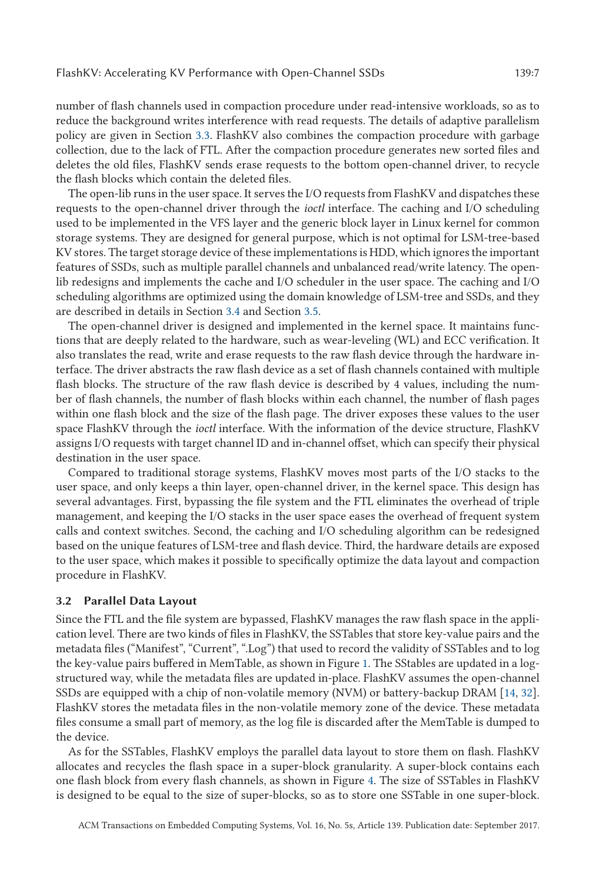<span id="page-6-0"></span>number of flash channels used in compaction procedure under read-intensive workloads, so as to reduce the background writes interference with read requests. The details of adaptive parallelism policy are given in Section [3.3.](#page-8-0) FlashKV also combines the compaction procedure with garbage collection, due to the lack of FTL. After the compaction procedure generates new sorted files and deletes the old files, FlashKV sends erase requests to the bottom open-channel driver, to recycle the flash blocks which contain the deleted files.

The open-lib runs in the user space. It serves the I/O requests from FlashKV and dispatches these requests to the open-channel driver through the *ioctl* interface. The caching and I/O scheduling used to be implemented in the VFS layer and the generic block layer in Linux kernel for common storage systems. They are designed for general purpose, which is not optimal for LSM-tree-based KV stores. The target storage device of these implementations is HDD, which ignores the important features of SSDs, such as multiple parallel channels and unbalanced read/write latency. The openlib redesigns and implements the cache and I/O scheduler in the user space. The caching and I/O scheduling algorithms are optimized using the domain knowledge of LSM-tree and SSDs, and they are described in details in Section [3.4](#page-9-0) and Section [3.5.](#page-10-0)

The open-channel driver is designed and implemented in the kernel space. It maintains functions that are deeply related to the hardware, such as wear-leveling (WL) and ECC verification. It also translates the read, write and erase requests to the raw flash device through the hardware interface. The driver abstracts the raw flash device as a set of flash channels contained with multiple flash blocks. The structure of the raw flash device is described by 4 values, including the number of flash channels, the number of flash blocks within each channel, the number of flash pages within one flash block and the size of the flash page. The driver exposes these values to the user space FlashKV through the *ioctl* interface. With the information of the device structure, FlashKV assigns I/O requests with target channel ID and in-channel offset, which can specify their physical destination in the user space.

Compared to traditional storage systems, FlashKV moves most parts of the I/O stacks to the user space, and only keeps a thin layer, open-channel driver, in the kernel space. This design has several advantages. First, bypassing the file system and the FTL eliminates the overhead of triple management, and keeping the I/O stacks in the user space eases the overhead of frequent system calls and context switches. Second, the caching and I/O scheduling algorithm can be redesigned based on the unique features of LSM-tree and flash device. Third, the hardware details are exposed to the user space, which makes it possible to specifically optimize the data layout and compaction procedure in FlashKV.

### **3.2 Parallel Data Layout**

Since the FTL and the file system are bypassed, FlashKV manages the raw flash space in the application level. There are two kinds of files in FlashKV, the SSTables that store key-value pairs and the metadata files ("Manifest", "Current", ".Log") that used to record the validity of SSTables and to log the key-value pairs buffered in MemTable, as shown in Figure [1.](#page-3-0) The SStables are updated in a logstructured way, while the metadata files are updated in-place. FlashKV assumes the open-channel SSDs are equipped with a chip of non-volatile memory (NVM) or battery-backup DRAM [\[14,](#page-17-0) [32\]](#page-18-0). FlashKV stores the metadata files in the non-volatile memory zone of the device. These metadata files consume a small part of memory, as the log file is discarded after the MemTable is dumped to the device.

As for the SSTables, FlashKV employs the parallel data layout to store them on flash. FlashKV allocates and recycles the flash space in a super-block granularity. A super-block contains each one flash block from every flash channels, as shown in Figure [4.](#page-7-0) The size of SSTables in FlashKV is designed to be equal to the size of super-blocks, so as to store one SSTable in one super-block.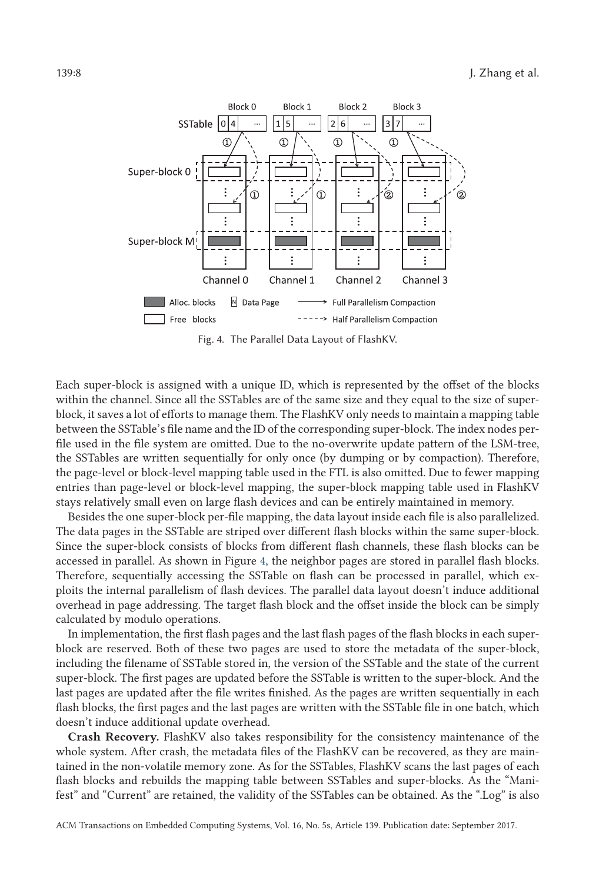<span id="page-7-0"></span>

Fig. 4. The Parallel Data Layout of FlashKV.

Each super-block is assigned with a unique ID, which is represented by the offset of the blocks within the channel. Since all the SSTables are of the same size and they equal to the size of superblock, it saves a lot of efforts to manage them. The FlashKV only needs to maintain a mapping table between the SSTable's file name and the ID of the corresponding super-block. The index nodes perfile used in the file system are omitted. Due to the no-overwrite update pattern of the LSM-tree, the SSTables are written sequentially for only once (by dumping or by compaction). Therefore, the page-level or block-level mapping table used in the FTL is also omitted. Due to fewer mapping entries than page-level or block-level mapping, the super-block mapping table used in FlashKV stays relatively small even on large flash devices and can be entirely maintained in memory.

Besides the one super-block per-file mapping, the data layout inside each file is also parallelized. The data pages in the SSTable are striped over different flash blocks within the same super-block. Since the super-block consists of blocks from different flash channels, these flash blocks can be accessed in parallel. As shown in Figure 4, the neighbor pages are stored in parallel flash blocks. Therefore, sequentially accessing the SSTable on flash can be processed in parallel, which exploits the internal parallelism of flash devices. The parallel data layout doesn't induce additional overhead in page addressing. The target flash block and the offset inside the block can be simply calculated by modulo operations.

In implementation, the first flash pages and the last flash pages of the flash blocks in each superblock are reserved. Both of these two pages are used to store the metadata of the super-block, including the filename of SSTable stored in, the version of the SSTable and the state of the current super-block. The first pages are updated before the SSTable is written to the super-block. And the last pages are updated after the file writes finished. As the pages are written sequentially in each flash blocks, the first pages and the last pages are written with the SSTable file in one batch, which doesn't induce additional update overhead.

**Crash Recovery.** FlashKV also takes responsibility for the consistency maintenance of the whole system. After crash, the metadata files of the FlashKV can be recovered, as they are maintained in the non-volatile memory zone. As for the SSTables, FlashKV scans the last pages of each flash blocks and rebuilds the mapping table between SSTables and super-blocks. As the "Manifest" and "Current" are retained, the validity of the SSTables can be obtained. As the ".Log" is also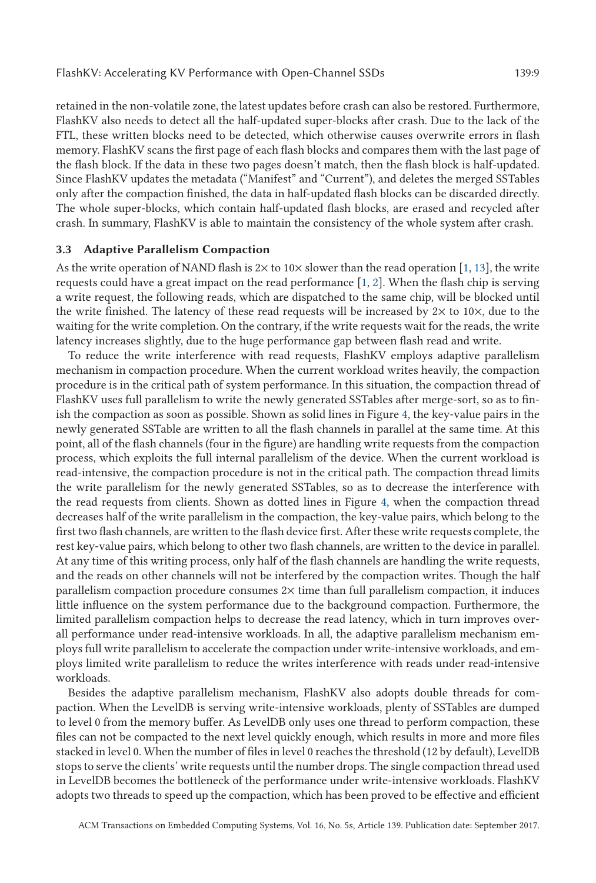<span id="page-8-0"></span>retained in the non-volatile zone, the latest updates before crash can also be restored. Furthermore, FlashKV also needs to detect all the half-updated super-blocks after crash. Due to the lack of the FTL, these written blocks need to be detected, which otherwise causes overwrite errors in flash memory. FlashKV scans the first page of each flash blocks and compares them with the last page of the flash block. If the data in these two pages doesn't match, then the flash block is half-updated. Since FlashKV updates the metadata ("Manifest" and "Current"), and deletes the merged SSTables only after the compaction finished, the data in half-updated flash blocks can be discarded directly. The whole super-blocks, which contain half-updated flash blocks, are erased and recycled after crash. In summary, FlashKV is able to maintain the consistency of the whole system after crash.

#### **3.3 Adaptive Parallelism Compaction**

As the write operation of NAND flash is  $2\times$  to  $10\times$  slower than the read operation [\[1,](#page-17-0) [13\]](#page-17-0), the write requests could have a great impact on the read performance [\[1,](#page-17-0) [2\]](#page-17-0). When the flash chip is serving a write request, the following reads, which are dispatched to the same chip, will be blocked until the write finished. The latency of these read requests will be increased by  $2 \times$  to  $10 \times$ , due to the waiting for the write completion. On the contrary, if the write requests wait for the reads, the write latency increases slightly, due to the huge performance gap between flash read and write.

To reduce the write interference with read requests, FlashKV employs adaptive parallelism mechanism in compaction procedure. When the current workload writes heavily, the compaction procedure is in the critical path of system performance. In this situation, the compaction thread of FlashKV uses full parallelism to write the newly generated SSTables after merge-sort, so as to finish the compaction as soon as possible. Shown as solid lines in Figure [4,](#page-7-0) the key-value pairs in the newly generated SSTable are written to all the flash channels in parallel at the same time. At this point, all of the flash channels (four in the figure) are handling write requests from the compaction process, which exploits the full internal parallelism of the device. When the current workload is read-intensive, the compaction procedure is not in the critical path. The compaction thread limits the write parallelism for the newly generated SSTables, so as to decrease the interference with the read requests from clients. Shown as dotted lines in Figure [4,](#page-7-0) when the compaction thread decreases half of the write parallelism in the compaction, the key-value pairs, which belong to the first two flash channels, are written to the flash device first. After these write requests complete, the rest key-value pairs, which belong to other two flash channels, are written to the device in parallel. At any time of this writing process, only half of the flash channels are handling the write requests, and the reads on other channels will not be interfered by the compaction writes. Though the half parallelism compaction procedure consumes  $2\times$  time than full parallelism compaction, it induces little influence on the system performance due to the background compaction. Furthermore, the limited parallelism compaction helps to decrease the read latency, which in turn improves overall performance under read-intensive workloads. In all, the adaptive parallelism mechanism employs full write parallelism to accelerate the compaction under write-intensive workloads, and employs limited write parallelism to reduce the writes interference with reads under read-intensive workloads.

Besides the adaptive parallelism mechanism, FlashKV also adopts double threads for compaction. When the LevelDB is serving write-intensive workloads, plenty of SSTables are dumped to level 0 from the memory buffer. As LevelDB only uses one thread to perform compaction, these files can not be compacted to the next level quickly enough, which results in more and more files stacked in level 0. When the number of files in level 0 reaches the threshold (12 by default), LevelDB stops to serve the clients' write requests until the number drops. The single compaction thread used in LevelDB becomes the bottleneck of the performance under write-intensive workloads. FlashKV adopts two threads to speed up the compaction, which has been proved to be effective and efficient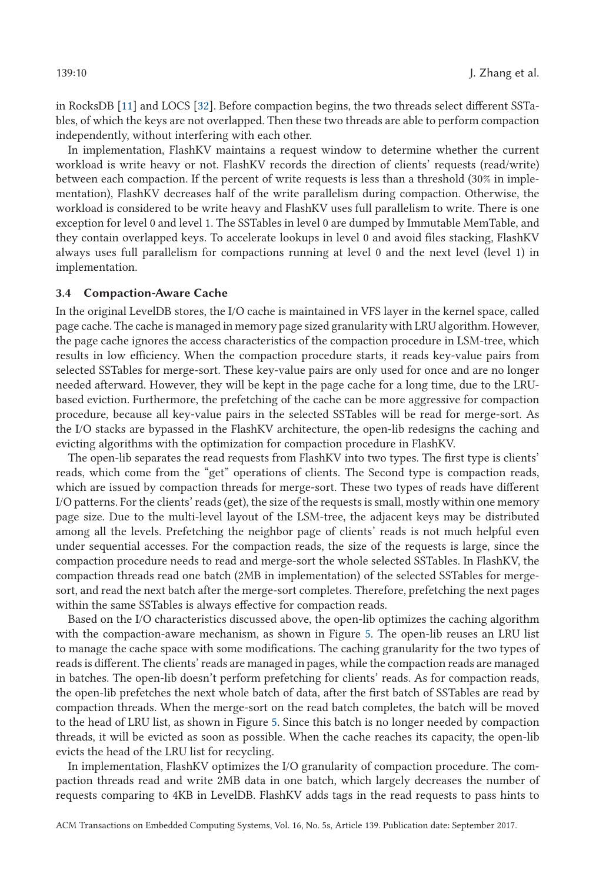<span id="page-9-0"></span>in RocksDB [\[11\]](#page-17-0) and LOCS [\[32\]](#page-18-0). Before compaction begins, the two threads select different SSTables, of which the keys are not overlapped. Then these two threads are able to perform compaction independently, without interfering with each other.

In implementation, FlashKV maintains a request window to determine whether the current workload is write heavy or not. FlashKV records the direction of clients' requests (read/write) between each compaction. If the percent of write requests is less than a threshold (30% in implementation), FlashKV decreases half of the write parallelism during compaction. Otherwise, the workload is considered to be write heavy and FlashKV uses full parallelism to write. There is one exception for level 0 and level 1. The SSTables in level 0 are dumped by Immutable MemTable, and they contain overlapped keys. To accelerate lookups in level 0 and avoid files stacking, FlashKV always uses full parallelism for compactions running at level 0 and the next level (level 1) in implementation.

#### **3.4 Compaction-Aware Cache**

In the original LevelDB stores, the I/O cache is maintained in VFS layer in the kernel space, called page cache. The cache is managed in memory page sized granularity with LRU algorithm. However, the page cache ignores the access characteristics of the compaction procedure in LSM-tree, which results in low efficiency. When the compaction procedure starts, it reads key-value pairs from selected SSTables for merge-sort. These key-value pairs are only used for once and are no longer needed afterward. However, they will be kept in the page cache for a long time, due to the LRUbased eviction. Furthermore, the prefetching of the cache can be more aggressive for compaction procedure, because all key-value pairs in the selected SSTables will be read for merge-sort. As the I/O stacks are bypassed in the FlashKV architecture, the open-lib redesigns the caching and evicting algorithms with the optimization for compaction procedure in FlashKV.

The open-lib separates the read requests from FlashKV into two types. The first type is clients' reads, which come from the "get" operations of clients. The Second type is compaction reads, which are issued by compaction threads for merge-sort. These two types of reads have different I/O patterns. For the clients' reads (get), the size of the requests is small, mostly within one memory page size. Due to the multi-level layout of the LSM-tree, the adjacent keys may be distributed among all the levels. Prefetching the neighbor page of clients' reads is not much helpful even under sequential accesses. For the compaction reads, the size of the requests is large, since the compaction procedure needs to read and merge-sort the whole selected SSTables. In FlashKV, the compaction threads read one batch (2MB in implementation) of the selected SSTables for mergesort, and read the next batch after the merge-sort completes. Therefore, prefetching the next pages within the same SSTables is always effective for compaction reads.

Based on the I/O characteristics discussed above, the open-lib optimizes the caching algorithm with the compaction-aware mechanism, as shown in Figure [5.](#page-10-0) The open-lib reuses an LRU list to manage the cache space with some modifications. The caching granularity for the two types of reads is different. The clients' reads are managed in pages, while the compaction reads are managed in batches. The open-lib doesn't perform prefetching for clients' reads. As for compaction reads, the open-lib prefetches the next whole batch of data, after the first batch of SSTables are read by compaction threads. When the merge-sort on the read batch completes, the batch will be moved to the head of LRU list, as shown in Figure [5.](#page-10-0) Since this batch is no longer needed by compaction threads, it will be evicted as soon as possible. When the cache reaches its capacity, the open-lib evicts the head of the LRU list for recycling.

In implementation, FlashKV optimizes the I/O granularity of compaction procedure. The compaction threads read and write 2MB data in one batch, which largely decreases the number of requests comparing to 4KB in LevelDB. FlashKV adds tags in the read requests to pass hints to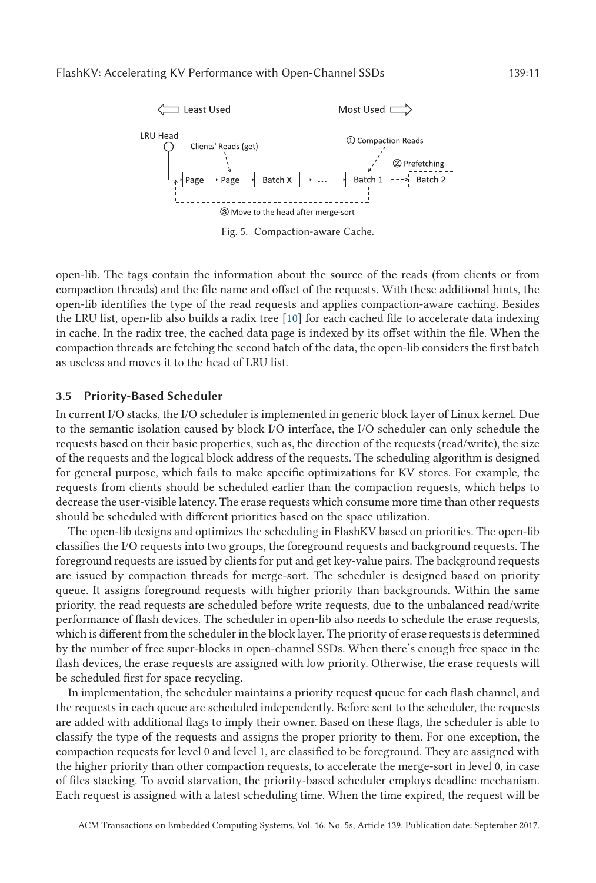<span id="page-10-0"></span>

Fig. 5. Compaction-aware Cache.

open-lib. The tags contain the information about the source of the reads (from clients or from compaction threads) and the file name and offset of the requests. With these additional hints, the open-lib identifies the type of the read requests and applies compaction-aware caching. Besides the LRU list, open-lib also builds a radix tree [\[10\]](#page-17-0) for each cached file to accelerate data indexing in cache. In the radix tree, the cached data page is indexed by its offset within the file. When the compaction threads are fetching the second batch of the data, the open-lib considers the first batch as useless and moves it to the head of LRU list.

### **3.5 Priority-Based Scheduler**

In current I/O stacks, the I/O scheduler is implemented in generic block layer of Linux kernel. Due to the semantic isolation caused by block I/O interface, the I/O scheduler can only schedule the requests based on their basic properties, such as, the direction of the requests (read/write), the size of the requests and the logical block address of the requests. The scheduling algorithm is designed for general purpose, which fails to make specific optimizations for KV stores. For example, the requests from clients should be scheduled earlier than the compaction requests, which helps to decrease the user-visible latency. The erase requests which consume more time than other requests should be scheduled with different priorities based on the space utilization.

The open-lib designs and optimizes the scheduling in FlashKV based on priorities. The open-lib classifies the I/O requests into two groups, the foreground requests and background requests. The foreground requests are issued by clients for put and get key-value pairs. The background requests are issued by compaction threads for merge-sort. The scheduler is designed based on priority queue. It assigns foreground requests with higher priority than backgrounds. Within the same priority, the read requests are scheduled before write requests, due to the unbalanced read/write performance of flash devices. The scheduler in open-lib also needs to schedule the erase requests, which is different from the scheduler in the block layer. The priority of erase requests is determined by the number of free super-blocks in open-channel SSDs. When there's enough free space in the flash devices, the erase requests are assigned with low priority. Otherwise, the erase requests will be scheduled first for space recycling.

In implementation, the scheduler maintains a priority request queue for each flash channel, and the requests in each queue are scheduled independently. Before sent to the scheduler, the requests are added with additional flags to imply their owner. Based on these flags, the scheduler is able to classify the type of the requests and assigns the proper priority to them. For one exception, the compaction requests for level 0 and level 1, are classified to be foreground. They are assigned with the higher priority than other compaction requests, to accelerate the merge-sort in level 0, in case of files stacking. To avoid starvation, the priority-based scheduler employs deadline mechanism. Each request is assigned with a latest scheduling time. When the time expired, the request will be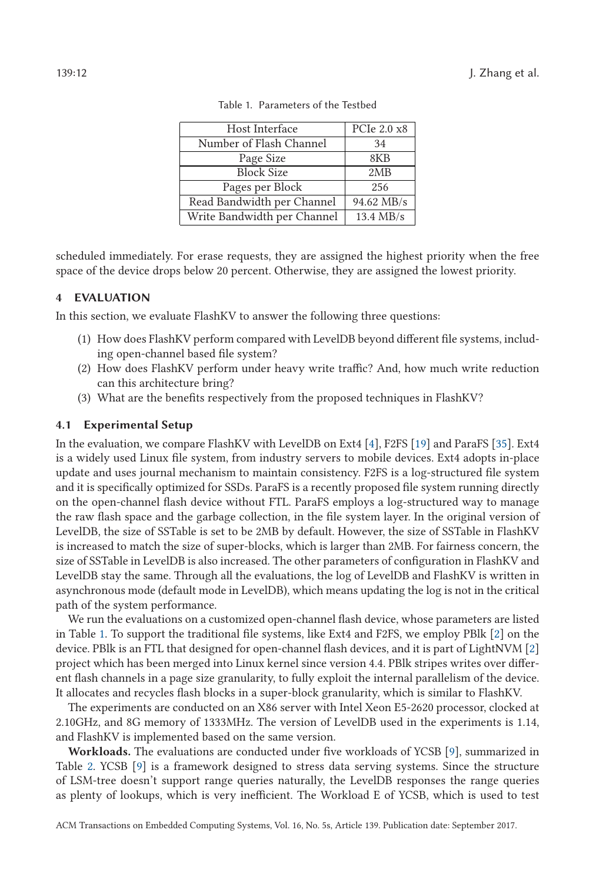<span id="page-11-0"></span>

| Host Interface              | PCIe 2.0 x8         |  |
|-----------------------------|---------------------|--|
| Number of Flash Channel     | 34                  |  |
| Page Size                   | 8KB                 |  |
| <b>Block Size</b>           | 2MB                 |  |
| Pages per Block             | 256                 |  |
| Read Bandwidth per Channel  | 94.62 MB/s          |  |
| Write Bandwidth per Channel | $13.4 \text{ MB/s}$ |  |

Table 1. Parameters of the Testbed

scheduled immediately. For erase requests, they are assigned the highest priority when the free space of the device drops below 20 percent. Otherwise, they are assigned the lowest priority.

# **4 EVALUATION**

In this section, we evaluate FlashKV to answer the following three questions:

- (1) How does FlashKV perform compared with LevelDB beyond different file systems, including open-channel based file system?
- (2) How does FlashKV perform under heavy write traffic? And, how much write reduction can this architecture bring?
- (3) What are the benefits respectively from the proposed techniques in FlashKV?

#### **4.1 Experimental Setup**

In the evaluation, we compare FlashKV with LevelDB on Ext4 [\[4\]](#page-17-0), F2FS [\[19\]](#page-17-0) and ParaFS [\[35\]](#page-18-0). Ext4 is a widely used Linux file system, from industry servers to mobile devices. Ext4 adopts in-place update and uses journal mechanism to maintain consistency. F2FS is a log-structured file system and it is specifically optimized for SSDs. ParaFS is a recently proposed file system running directly on the open-channel flash device without FTL. ParaFS employs a log-structured way to manage the raw flash space and the garbage collection, in the file system layer. In the original version of LevelDB, the size of SSTable is set to be 2MB by default. However, the size of SSTable in FlashKV is increased to match the size of super-blocks, which is larger than 2MB. For fairness concern, the size of SSTable in LevelDB is also increased. The other parameters of configuration in FlashKV and LevelDB stay the same. Through all the evaluations, the log of LevelDB and FlashKV is written in asynchronous mode (default mode in LevelDB), which means updating the log is not in the critical path of the system performance.

We run the evaluations on a customized open-channel flash device, whose parameters are listed in Table 1. To support the traditional file systems, like Ext4 and F2FS, we employ PBlk [\[2\]](#page-17-0) on the device. PBlk is an FTL that designed for open-channel flash devices, and it is part of LightNVM [\[2\]](#page-17-0) project which has been merged into Linux kernel since version 4.4. PBlk stripes writes over different flash channels in a page size granularity, to fully exploit the internal parallelism of the device. It allocates and recycles flash blocks in a super-block granularity, which is similar to FlashKV.

The experiments are conducted on an X86 server with Intel Xeon E5-2620 processor, clocked at 2.10GHz, and 8G memory of 1333MHz. The version of LevelDB used in the experiments is 1.14, and FlashKV is implemented based on the same version.

**Workloads.** The evaluations are conducted under five workloads of YCSB [\[9\]](#page-17-0), summarized in Table [2.](#page-12-0) YCSB [\[9\]](#page-17-0) is a framework designed to stress data serving systems. Since the structure of LSM-tree doesn't support range queries naturally, the LevelDB responses the range queries as plenty of lookups, which is very inefficient. The Workload E of YCSB, which is used to test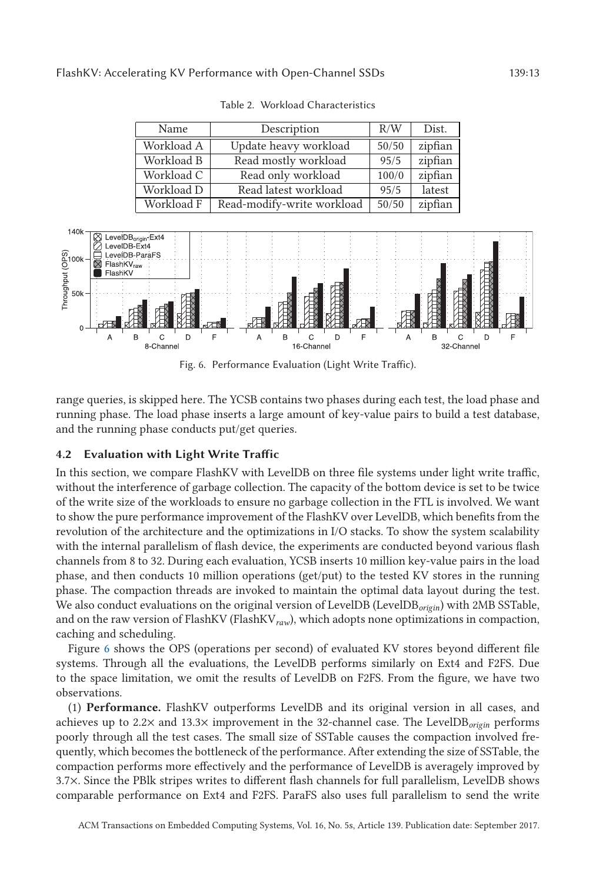<span id="page-12-0"></span>

| Name       | Description                | R/W   | Dist.   |
|------------|----------------------------|-------|---------|
| Workload A | Update heavy workload      | 50/50 | zipfian |
| Workload B | Read mostly workload       | 95/5  | zipfian |
| Workload C | Read only workload         | 100/0 | zipfian |
| Workload D | Read latest workload       | 95/5  | latest  |
| Workload F | Read-modify-write workload | 50/50 | zipfian |

Table 2. Workload Characteristics



Fig. 6. Performance Evaluation (Light Write Traffic).

range queries, is skipped here. The YCSB contains two phases during each test, the load phase and running phase. The load phase inserts a large amount of key-value pairs to build a test database, and the running phase conducts put/get queries.

# **4.2 Evaluation with Light Write Traffic**

In this section, we compare FlashKV with LevelDB on three file systems under light write traffic, without the interference of garbage collection. The capacity of the bottom device is set to be twice of the write size of the workloads to ensure no garbage collection in the FTL is involved. We want to show the pure performance improvement of the FlashKV over LevelDB, which benefits from the revolution of the architecture and the optimizations in I/O stacks. To show the system scalability with the internal parallelism of flash device, the experiments are conducted beyond various flash channels from 8 to 32. During each evaluation, YCSB inserts 10 million key-value pairs in the load phase, and then conducts 10 million operations (get/put) to the tested KV stores in the running phase. The compaction threads are invoked to maintain the optimal data layout during the test. We also conduct evaluations on the original version of LevelDB (LevelDB*origin*) with 2MB SSTable, and on the raw version of FlashKV (FlashKV*raw*), which adopts none optimizations in compaction, caching and scheduling.

Figure 6 shows the OPS (operations per second) of evaluated KV stores beyond different file systems. Through all the evaluations, the LevelDB performs similarly on Ext4 and F2FS. Due to the space limitation, we omit the results of LevelDB on F2FS. From the figure, we have two observations.

(1) **Performance.** FlashKV outperforms LevelDB and its original version in all cases, and achieves up to 2.2× and 13.3× improvement in the 32-channel case. The LevelDB*origin* performs poorly through all the test cases. The small size of SSTable causes the compaction involved frequently, which becomes the bottleneck of the performance. After extending the size of SSTable, the compaction performs more effectively and the performance of LevelDB is averagely improved by 3.7×. Since the PBlk stripes writes to different flash channels for full parallelism, LevelDB shows comparable performance on Ext4 and F2FS. ParaFS also uses full parallelism to send the write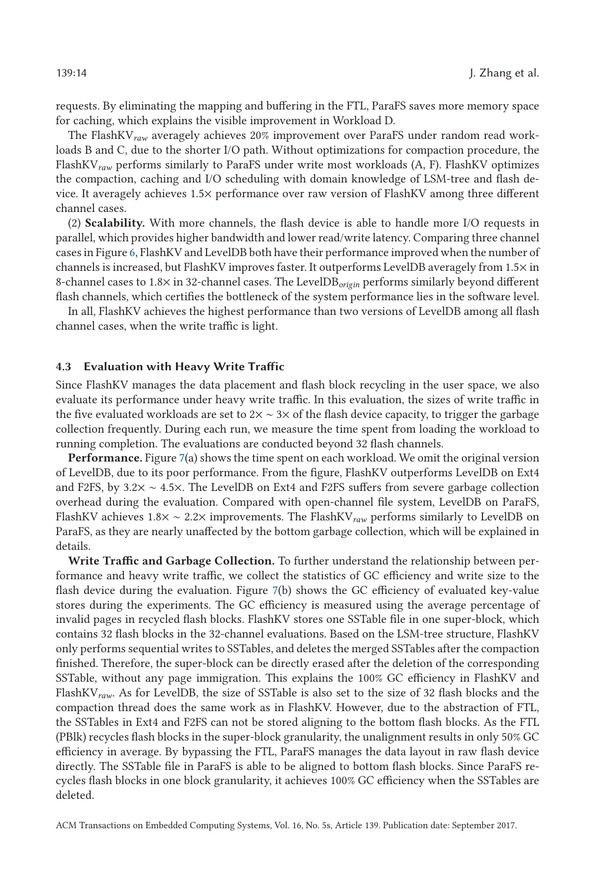requests. By eliminating the mapping and buffering in the FTL, ParaFS saves more memory space for caching, which explains the visible improvement in Workload D.

The FlashKV*raw* averagely achieves 20% improvement over ParaFS under random read workloads B and C, due to the shorter I/O path. Without optimizations for compaction procedure, the FlashKV*raw* performs similarly to ParaFS under write most workloads (A, F). FlashKV optimizes the compaction, caching and I/O scheduling with domain knowledge of LSM-tree and flash device. It averagely achieves 1.5× performance over raw version of FlashKV among three different channel cases.

(2) **Scalability.** With more channels, the flash device is able to handle more I/O requests in parallel, which provides higher bandwidth and lower read/write latency. Comparing three channel cases in Figure [6,](#page-12-0) FlashKV and LevelDB both have their performance improved when the number of channels is increased, but FlashKV improves faster. It outperforms LevelDB averagely from 1.5× in 8-channel cases to 1.8× in 32-channel cases. The LevelDB*origin* performs similarly beyond different flash channels, which certifies the bottleneck of the system performance lies in the software level.

In all, FlashKV achieves the highest performance than two versions of LevelDB among all flash channel cases, when the write traffic is light.

#### **4.3 Evaluation with Heavy Write Traffic**

Since FlashKV manages the data placement and flash block recycling in the user space, we also evaluate its performance under heavy write traffic. In this evaluation, the sizes of write traffic in the five evaluated workloads are set to  $2\times \sim 3\times$  of the flash device capacity, to trigger the garbage collection frequently. During each run, we measure the time spent from loading the workload to running completion. The evaluations are conducted beyond 32 flash channels.

**Performance.** Figure [7\(](#page-14-0)a) shows the time spent on each workload. We omit the original version of LevelDB, due to its poor performance. From the figure, FlashKV outperforms LevelDB on Ext4 and F2FS, by 3.2× ∼ 4.5×. The LevelDB on Ext4 and F2FS suffers from severe garbage collection overhead during the evaluation. Compared with open-channel file system, LevelDB on ParaFS, FlashKV achieves 1.8× ∼ 2.2× improvements. The FlashKV*raw* performs similarly to LevelDB on ParaFS, as they are nearly unaffected by the bottom garbage collection, which will be explained in details.

**Write Traffic and Garbage Collection.** To further understand the relationship between performance and heavy write traffic, we collect the statistics of GC efficiency and write size to the flash device during the evaluation. Figure [7\(](#page-14-0)b) shows the GC efficiency of evaluated key-value stores during the experiments. The GC efficiency is measured using the average percentage of invalid pages in recycled flash blocks. FlashKV stores one SSTable file in one super-block, which contains 32 flash blocks in the 32-channel evaluations. Based on the LSM-tree structure, FlashKV only performs sequential writes to SSTables, and deletes the merged SSTables after the compaction finished. Therefore, the super-block can be directly erased after the deletion of the corresponding SSTable, without any page immigration. This explains the 100% GC efficiency in FlashKV and FlashKV*raw*. As for LevelDB, the size of SSTable is also set to the size of 32 flash blocks and the compaction thread does the same work as in FlashKV. However, due to the abstraction of FTL, the SSTables in Ext4 and F2FS can not be stored aligning to the bottom flash blocks. As the FTL (PBlk) recycles flash blocks in the super-block granularity, the unalignment results in only 50% GC efficiency in average. By bypassing the FTL, ParaFS manages the data layout in raw flash device directly. The SSTable file in ParaFS is able to be aligned to bottom flash blocks. Since ParaFS recycles flash blocks in one block granularity, it achieves 100% GC efficiency when the SSTables are deleted.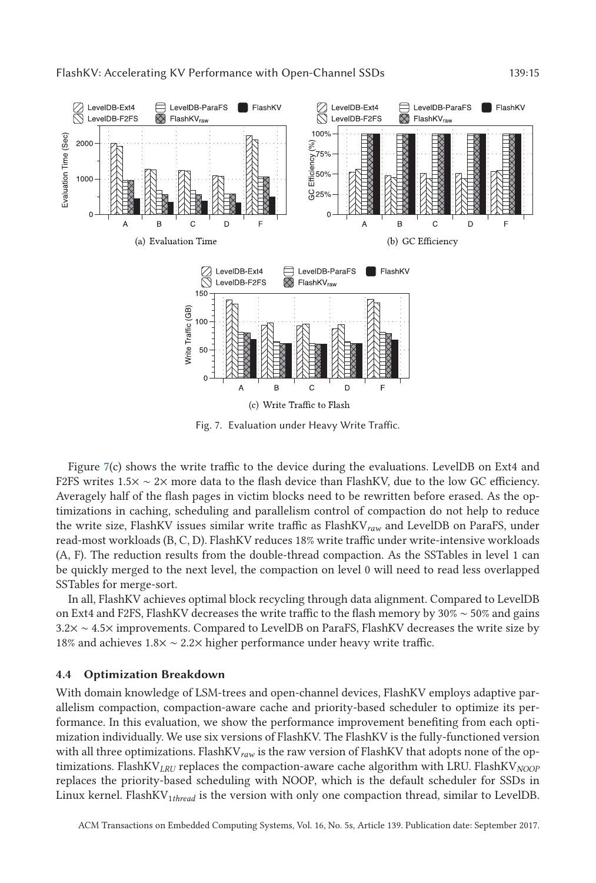<span id="page-14-0"></span>

Fig. 7. Evaluation under Heavy Write Traffic.

Figure 7(c) shows the write traffic to the device during the evaluations. LevelDB on Ext4 and F2FS writes  $1.5 \times \sim 2 \times$  more data to the flash device than FlashKV, due to the low GC efficiency. Averagely half of the flash pages in victim blocks need to be rewritten before erased. As the optimizations in caching, scheduling and parallelism control of compaction do not help to reduce the write size, FlashKV issues similar write traffic as FlashKV*raw* and LevelDB on ParaFS, under read-most workloads (B, C, D). FlashKV reduces 18% write traffic under write-intensive workloads (A, F). The reduction results from the double-thread compaction. As the SSTables in level 1 can be quickly merged to the next level, the compaction on level 0 will need to read less overlapped SSTables for merge-sort.

In all, FlashKV achieves optimal block recycling through data alignment. Compared to LevelDB on Ext4 and F2FS, FlashKV decreases the write traffic to the flash memory by 30% ∼ 50% and gains 3.2× ∼ 4.5× improvements. Compared to LevelDB on ParaFS, FlashKV decreases the write size by 18% and achieves 1.8× ∼ 2.2× higher performance under heavy write traffic.

## **4.4 Optimization Breakdown**

With domain knowledge of LSM-trees and open-channel devices, FlashKV employs adaptive parallelism compaction, compaction-aware cache and priority-based scheduler to optimize its performance. In this evaluation, we show the performance improvement benefiting from each optimization individually. We use six versions of FlashKV. The FlashKV is the fully-functioned version with all three optimizations. FlashKV*raw* is the raw version of FlashKV that adopts none of the optimizations. FlashKV<sub>LRU</sub> replaces the compaction-aware cache algorithm with LRU. FlashKV<sub>NOOP</sub> replaces the priority-based scheduling with NOOP, which is the default scheduler for SSDs in Linux kernel. FlashKV<sub>1thread</sub> is the version with only one compaction thread, similar to LevelDB.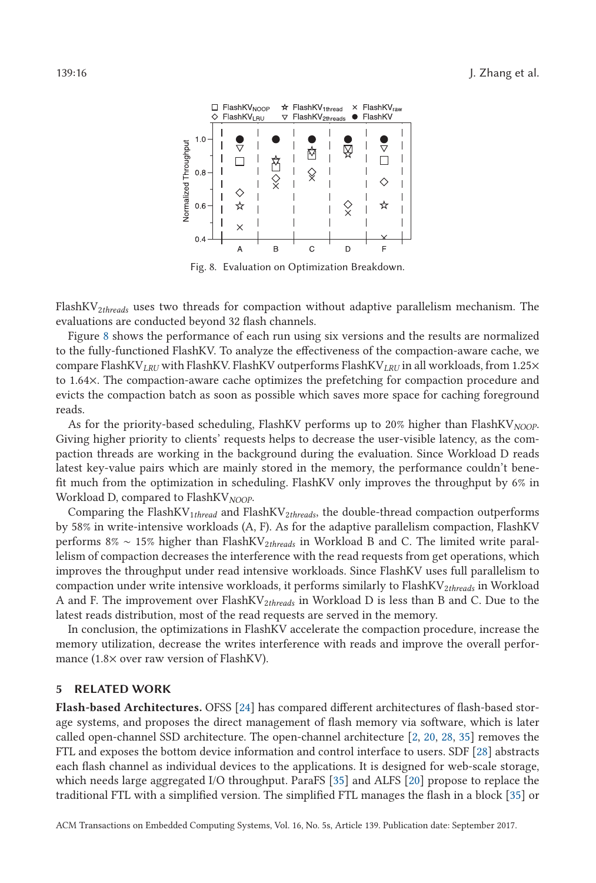<span id="page-15-0"></span>

Fig. 8. Evaluation on Optimization Breakdown.

FlashKV2*threads* uses two threads for compaction without adaptive parallelism mechanism. The evaluations are conducted beyond 32 flash channels.

Figure 8 shows the performance of each run using six versions and the results are normalized to the fully-functioned FlashKV. To analyze the effectiveness of the compaction-aware cache, we compare FlashKV*LRU* with FlashKV. FlashKV outperforms FlashKV*LRU* in all workloads, from 1.25× to 1.64×. The compaction-aware cache optimizes the prefetching for compaction procedure and evicts the compaction batch as soon as possible which saves more space for caching foreground reads.

As for the priority-based scheduling, FlashKV performs up to 20% higher than FlashKV<sub>NOOP</sub>. Giving higher priority to clients' requests helps to decrease the user-visible latency, as the compaction threads are working in the background during the evaluation. Since Workload D reads latest key-value pairs which are mainly stored in the memory, the performance couldn't benefit much from the optimization in scheduling. FlashKV only improves the throughput by 6% in Workload D, compared to FlashKV<sub>NOOP</sub>.

Comparing the FlashKV<sub>1thread</sub> and FlashKV<sub>2threads</sub>, the double-thread compaction outperforms by 58% in write-intensive workloads (A, F). As for the adaptive parallelism compaction, FlashKV performs 8% ∼ 15% higher than FlashKV2*threads* in Workload B and C. The limited write parallelism of compaction decreases the interference with the read requests from get operations, which improves the throughput under read intensive workloads. Since FlashKV uses full parallelism to compaction under write intensive workloads, it performs similarly to FlashKV2*threads* in Workload A and F. The improvement over FlashKV2*threads* in Workload D is less than B and C. Due to the latest reads distribution, most of the read requests are served in the memory.

In conclusion, the optimizations in FlashKV accelerate the compaction procedure, increase the memory utilization, decrease the writes interference with reads and improve the overall performance (1.8× over raw version of FlashKV).

#### **5 RELATED WORK**

**Flash-based Architectures.** OFSS [\[24\]](#page-18-0) has compared different architectures of flash-based storage systems, and proposes the direct management of flash memory via software, which is later called open-channel SSD architecture. The open-channel architecture [\[2,](#page-17-0) [20,](#page-17-0) [28,](#page-18-0) [35\]](#page-18-0) removes the FTL and exposes the bottom device information and control interface to users. SDF [\[28\]](#page-18-0) abstracts each flash channel as individual devices to the applications. It is designed for web-scale storage, which needs large aggregated I/O throughput. ParaFS [\[35\]](#page-18-0) and ALFS [\[20\]](#page-17-0) propose to replace the traditional FTL with a simplified version. The simplified FTL manages the flash in a block [\[35\]](#page-18-0) or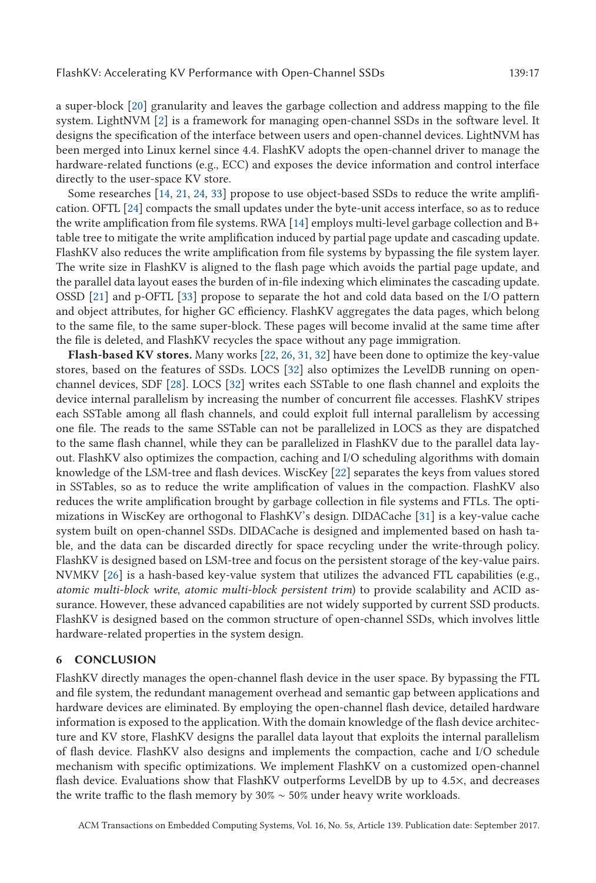<span id="page-16-0"></span>a super-block [\[20\]](#page-17-0) granularity and leaves the garbage collection and address mapping to the file system. LightNVM [\[2\]](#page-17-0) is a framework for managing open-channel SSDs in the software level. It designs the specification of the interface between users and open-channel devices. LightNVM has been merged into Linux kernel since 4.4. FlashKV adopts the open-channel driver to manage the hardware-related functions (e.g., ECC) and exposes the device information and control interface directly to the user-space KV store.

Some researches [\[14,](#page-17-0) [21,](#page-18-0) [24,](#page-18-0) [33\]](#page-18-0) propose to use object-based SSDs to reduce the write amplification. OFTL [\[24\]](#page-18-0) compacts the small updates under the byte-unit access interface, so as to reduce the write amplification from file systems. RWA [\[14\]](#page-17-0) employs multi-level garbage collection and B+ table tree to mitigate the write amplification induced by partial page update and cascading update. FlashKV also reduces the write amplification from file systems by bypassing the file system layer. The write size in FlashKV is aligned to the flash page which avoids the partial page update, and the parallel data layout eases the burden of in-file indexing which eliminates the cascading update. OSSD [\[21\]](#page-18-0) and p-OFTL [\[33\]](#page-18-0) propose to separate the hot and cold data based on the I/O pattern and object attributes, for higher GC efficiency. FlashKV aggregates the data pages, which belong to the same file, to the same super-block. These pages will become invalid at the same time after the file is deleted, and FlashKV recycles the space without any page immigration.

**Flash-based KV stores.** Many works [\[22,](#page-18-0) [26,](#page-18-0) [31,](#page-18-0) [32\]](#page-18-0) have been done to optimize the key-value stores, based on the features of SSDs. LOCS [\[32\]](#page-18-0) also optimizes the LevelDB running on openchannel devices, SDF [\[28\]](#page-18-0). LOCS [\[32\]](#page-18-0) writes each SSTable to one flash channel and exploits the device internal parallelism by increasing the number of concurrent file accesses. FlashKV stripes each SSTable among all flash channels, and could exploit full internal parallelism by accessing one file. The reads to the same SSTable can not be parallelized in LOCS as they are dispatched to the same flash channel, while they can be parallelized in FlashKV due to the parallel data layout. FlashKV also optimizes the compaction, caching and I/O scheduling algorithms with domain knowledge of the LSM-tree and flash devices. WiscKey [\[22\]](#page-18-0) separates the keys from values stored in SSTables, so as to reduce the write amplification of values in the compaction. FlashKV also reduces the write amplification brought by garbage collection in file systems and FTLs. The optimizations in WiscKey are orthogonal to FlashKV's design. DIDACache [\[31\]](#page-18-0) is a key-value cache system built on open-channel SSDs. DIDACache is designed and implemented based on hash table, and the data can be discarded directly for space recycling under the write-through policy. FlashKV is designed based on LSM-tree and focus on the persistent storage of the key-value pairs. NVMKV [\[26\]](#page-18-0) is a hash-based key-value system that utilizes the advanced FTL capabilities (e.g., *atomic multi-block write*, *atomic multi-block persistent trim*) to provide scalability and ACID assurance. However, these advanced capabilities are not widely supported by current SSD products. FlashKV is designed based on the common structure of open-channel SSDs, which involves little hardware-related properties in the system design.

## **6 CONCLUSION**

FlashKV directly manages the open-channel flash device in the user space. By bypassing the FTL and file system, the redundant management overhead and semantic gap between applications and hardware devices are eliminated. By employing the open-channel flash device, detailed hardware information is exposed to the application. With the domain knowledge of the flash device architecture and KV store, FlashKV designs the parallel data layout that exploits the internal parallelism of flash device. FlashKV also designs and implements the compaction, cache and I/O schedule mechanism with specific optimizations. We implement FlashKV on a customized open-channel flash device. Evaluations show that FlashKV outperforms LevelDB by up to 4.5 $\times$ , and decreases the write traffic to the flash memory by 30% ∼ 50% under heavy write workloads.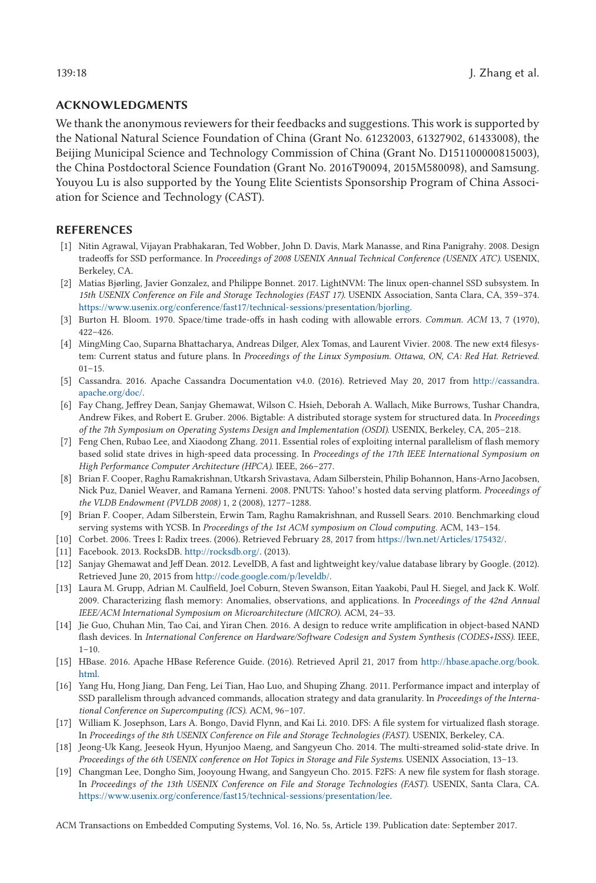# <span id="page-17-0"></span>**ACKNOWLEDGMENTS**

We thank the anonymous reviewers for their feedbacks and suggestions. This work is supported by the National Natural Science Foundation of China (Grant No. 61232003, 61327902, 61433008), the Beijing Municipal Science and Technology Commission of China (Grant No. D151100000815003), the China Postdoctoral Science Foundation (Grant No. 2016T90094, 2015M580098), and Samsung. Youyou Lu is also supported by the Young Elite Scientists Sponsorship Program of China Association for Science and Technology (CAST).

# **REFERENCES**

- [1] Nitin Agrawal, Vijayan Prabhakaran, Ted Wobber, John D. Davis, Mark Manasse, and Rina Panigrahy. 2008. Design tradeoffs for SSD performance. In *Proceedings of 2008 USENIX Annual Technical Conference (USENIX ATC)*. USENIX, Berkeley, CA.
- [2] Matias Bjørling, Javier Gonzalez, and Philippe Bonnet. 2017. LightNVM: The linux open-channel SSD subsystem. In *15th USENIX Conference on File and Storage Technologies (FAST 17)*. USENIX Association, Santa Clara, CA, 359–374. [https://www.usenix.org/conference/fast17/technical-sessions/presentation/bjorling.](https://www.usenix.org/conference/fast17/technical-sessions/presentation/bjorling)
- [3] Burton H. Bloom. 1970. Space/time trade-offs in hash coding with allowable errors. *Commun. ACM* 13, 7 (1970), 422–426.
- [4] MingMing Cao, Suparna Bhattacharya, Andreas Dilger, Alex Tomas, and Laurent Vivier. 2008. The new ext4 filesystem: Current status and future plans. In *Proceedings of the Linux Symposium. Ottawa, ON, CA: Red Hat. Retrieved*.  $01 - 15.$
- [5] [Cassandra. 2016. Apache Cassandra Documentation v4.0. \(2016\). Retrieved May 20, 2017 from](http://cassandra.penalty -@M apache.org/doc/) http://cassandra. apache.org/doc/.
- [6] Fay Chang, Jeffrey Dean, Sanjay Ghemawat, Wilson C. Hsieh, Deborah A. Wallach, Mike Burrows, Tushar Chandra, Andrew Fikes, and Robert E. Gruber. 2006. Bigtable: A distributed storage system for structured data. In *Proceedings of the 7th Symposium on Operating Systems Design and Implementation (OSDI)*. USENIX, Berkeley, CA, 205–218.
- [7] Feng Chen, Rubao Lee, and Xiaodong Zhang. 2011. Essential roles of exploiting internal parallelism of flash memory based solid state drives in high-speed data processing. In *Proceedings of the 17th IEEE International Symposium on High Performance Computer Architecture (HPCA)*. IEEE, 266–277.
- [8] Brian F. Cooper, Raghu Ramakrishnan, Utkarsh Srivastava, Adam Silberstein, Philip Bohannon, Hans-Arno Jacobsen, Nick Puz, Daniel Weaver, and Ramana Yerneni. 2008. PNUTS: Yahoo!'s hosted data serving platform. *Proceedings of the VLDB Endowment (PVLDB 2008)* 1, 2 (2008), 1277–1288.
- [9] Brian F. Cooper, Adam Silberstein, Erwin Tam, Raghu Ramakrishnan, and Russell Sears. 2010. Benchmarking cloud serving systems with YCSB. In *Proceedings of the 1st ACM symposium on Cloud computing*. ACM, 143–154.
- [10] Corbet. 2006. Trees I: Radix trees. (2006). Retrieved February 28, 2017 from [https://lwn.net/Articles/175432/.](https://lwn.net/Articles/175432/)
- [11] Facebook. 2013. RocksDB. [http://rocksdb.org/.](http://rocksdb.org/) (2013).
- [12] Sanjay Ghemawat and Jeff Dean. 2012. LevelDB, A fast and lightweight key/value database library by Google. (2012). Retrieved June 20, 2015 from [http://code.google.com/p/leveldb/.](http://code.google.com/p/leveldb/)
- [13] Laura M. Grupp, Adrian M. Caulfield, Joel Coburn, Steven Swanson, Eitan Yaakobi, Paul H. Siegel, and Jack K. Wolf. 2009. Characterizing flash memory: Anomalies, observations, and applications. In *Proceedings of the 42nd Annual IEEE/ACM International Symposium on Microarchitecture (MICRO)*. ACM, 24–33.
- [14] Jie Guo, Chuhan Min, Tao Cai, and Yiran Chen. 2016. A design to reduce write amplification in object-based NAND flash devices. In *International Conference on Hardware/Software Codesign and System Synthesis (CODES+ISSS)*. IEEE,  $1 - 10$ .
- [15] [HBase. 2016. Apache HBase Reference Guide. \(2016\). Retrieved April 21, 2017 from](http://hbase.apache.org/book.html) http://hbase.apache.org/book. html.
- [16] Yang Hu, Hong Jiang, Dan Feng, Lei Tian, Hao Luo, and Shuping Zhang. 2011. Performance impact and interplay of SSD parallelism through advanced commands, allocation strategy and data granularity. In *Proceedings of the International Conference on Supercomputing (ICS)*. ACM, 96–107.
- [17] William K. Josephson, Lars A. Bongo, David Flynn, and Kai Li. 2010. DFS: A file system for virtualized flash storage. In *Proceedings of the 8th USENIX Conference on File and Storage Technologies (FAST)*. USENIX, Berkeley, CA.
- [18] Jeong-Uk Kang, Jeeseok Hyun, Hyunjoo Maeng, and Sangyeun Cho. 2014. The multi-streamed solid-state drive. In *Proceedings of the 6th USENIX conference on Hot Topics in Storage and File Systems*. USENIX Association, 13–13.
- [19] Changman Lee, Dongho Sim, Jooyoung Hwang, and Sangyeun Cho. 2015. F2FS: A new file system for flash storage. In *Proceedings of the 13th USENIX Conference on File and Storage Technologies (FAST)*. USENIX, Santa Clara, CA. [https://www.usenix.org/conference/fast15/technical-sessions/presentation/lee.](https://www.usenix.org/conference/fast15/technical-sessions/presentation/lee)